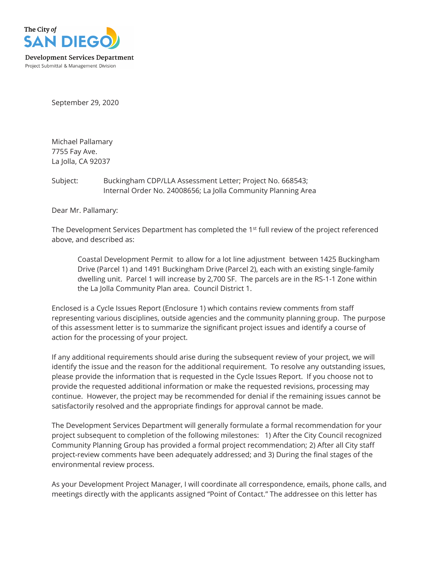

September 29, 2020

Michael Pallamary 7755 Fay Ave. La Jolla, CA 92037

Subject: Buckingham CDP/LLA Assessment Letter; Project No. 668543; Internal Order No. 24008656; La Jolla Community Planning Area

Dear Mr. Pallamary:

The Development Services Department has completed the 1<sup>st</sup> full review of the project referenced above, and described as:

Coastal Development Permit to allow for a lot line adjustment between 1425 Buckingham Drive (Parcel 1) and 1491 Buckingham Drive (Parcel 2), each with an existing single-family dwelling unit. Parcel 1 will increase by 2,700 SF. The parcels are in the RS-1-1 Zone within the La Jolla Community Plan area. Council District 1.

Enclosed is a Cycle Issues Report (Enclosure 1) which contains review comments from staff representing various disciplines, outside agencies and the community planning group. The purpose of this assessment letter is to summarize the significant project issues and identify a course of action for the processing of your project.

If any additional requirements should arise during the subsequent review of your project, we will identify the issue and the reason for the additional requirement. To resolve any outstanding issues, please provide the information that is requested in the Cycle Issues Report. If you choose not to provide the requested additional information or make the requested revisions, processing may continue. However, the project may be recommended for denial if the remaining issues cannot be satisfactorily resolved and the appropriate findings for approval cannot be made.

The Development Services Department will generally formulate a formal recommendation for your project subsequent to completion of the following milestones: 1) After the City Council recognized Community Planning Group has provided a formal project recommendation; 2) After all City staff project-review comments have been adequately addressed; and 3) During the final stages of the environmental review process.

As your Development Project Manager, I will coordinate all correspondence, emails, phone calls, and meetings directly with the applicants assigned "Point of Contact." The addressee on this letter has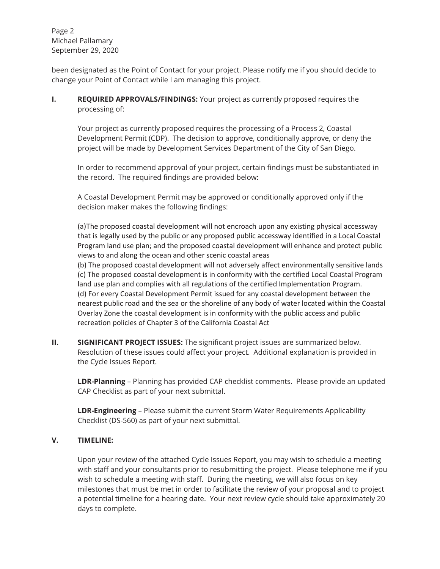Page 2 Michael Pallamary September 29, 2020

been designated as the Point of Contact for your project. Please notify me if you should decide to change your Point of Contact while I am managing this project.

**I. REQUIRED APPROVALS/FINDINGS:** Your project as currently proposed requires the processing of:

Your project as currently proposed requires the processing of a Process 2, Coastal Development Permit (CDP). The decision to approve, conditionally approve, or deny the project will be made by Development Services Department of the City of San Diego.

In order to recommend approval of your project, certain findings must be substantiated in the record. The required findings are provided below:

A Coastal Development Permit may be approved or conditionally approved only if the decision maker makes the following findings:

(a)The proposed coastal development will not encroach upon any existing physical accessway that is legally used by the public or any proposed public accessway identified in a Local Coastal Program land use plan; and the proposed coastal development will enhance and protect public views to and along the ocean and other scenic coastal areas

(b) The proposed coastal development will not adversely affect environmentally sensitive lands (c) The proposed coastal development is in conformity with the certified Local Coastal Program land use plan and complies with all regulations of the certified Implementation Program. (d) For every Coastal Development Permit issued for any coastal development between the nearest public road and the sea or the shoreline of any body of water located within the Coastal Overlay Zone the coastal development is in conformity with the public access and public recreation policies of Chapter 3 of the California Coastal Act

**II.** SIGNIFICANT PROJECT ISSUES: The significant project issues are summarized below. Resolution of these issues could affect your project. Additional explanation is provided in the Cycle Issues Report.

**LDR-Planning** – Planning has provided CAP checklist comments. Please provide an updated CAP Checklist as part of your next submittal.

**LDR-Engineering** – Please submit the current Storm Water Requirements Applicability Checklist (DS-560) as part of your next submittal.

# **V. TIMELINE:**

Upon your review of the attached Cycle Issues Report, you may wish to schedule a meeting with staff and your consultants prior to resubmitting the project. Please telephone me if you wish to schedule a meeting with staff. During the meeting, we will also focus on key milestones that must be met in order to facilitate the review of your proposal and to project a potential timeline for a hearing date. Your next review cycle should take approximately 20 days to complete.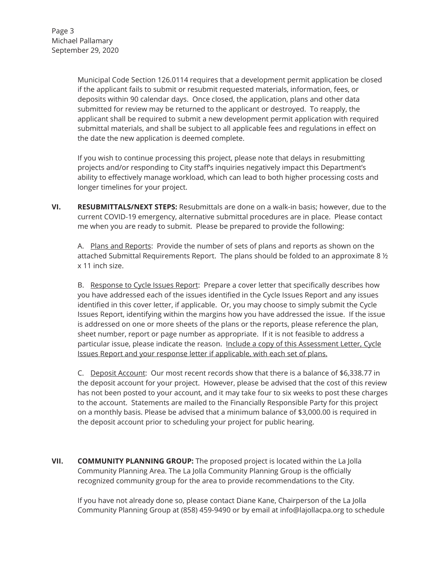Municipal Code Section 126.0114 requires that a development permit application be closed if the applicant fails to submit or resubmit requested materials, information, fees, or deposits within 90 calendar days. Once closed, the application, plans and other data submitted for review may be returned to the applicant or destroyed. To reapply, the applicant shall be required to submit a new development permit application with required submittal materials, and shall be subject to all applicable fees and regulations in effect on the date the new application is deemed complete.

If you wish to continue processing this project, please note that delays in resubmitting projects and/or responding to City staff's inquiries negatively impact this Department's ability to effectively manage workload, which can lead to both higher processing costs and longer timelines for your project.

**VI. RESUBMITTALS/NEXT STEPS:** Resubmittals are done on a walk-in basis; however, due to the current COVID-19 emergency, alternative submittal procedures are in place. Please contact me when you are ready to submit. Please be prepared to provide the following:

A. Plans and Reports: Provide the number of sets of plans and reports as shown on the attached Submittal Requirements Report. The plans should be folded to an approximate 8  $\frac{1}{2}$ x 11 inch size.

B. Response to Cycle Issues Report: Prepare a cover letter that specifically describes how you have addressed each of the issues identified in the Cycle Issues Report and any issues identified in this cover letter, if applicable. Or, you may choose to simply submit the Cycle Issues Report, identifying within the margins how you have addressed the issue. If the issue is addressed on one or more sheets of the plans or the reports, please reference the plan, sheet number, report or page number as appropriate. If it is not feasible to address a particular issue, please indicate the reason. Include a copy of this Assessment Letter, Cycle Issues Report and your response letter if applicable, with each set of plans.

C. Deposit Account:Our most recent records show that there is a balance of \$6,338.77 in the deposit account for your project. However, please be advised that the cost of this review has not been posted to your account, and it may take four to six weeks to post these charges to the account. Statements are mailed to the Financially Responsible Party for this project on a monthly basis. Please be advised that a minimum balance of \$3,000.00 is required in the deposit account prior to scheduling your project for public hearing.

**VII. COMMUNITY PLANNING GROUP:** The proposed project is located within the La Jolla Community Planning Area. The La Jolla Community Planning Group is the officially recognized community group for the area to provide recommendations to the City.

If you have not already done so, please contact Diane Kane, Chairperson of the La Jolla Community Planning Group at (858) 459-9490 or by email at info@lajollacpa.org to schedule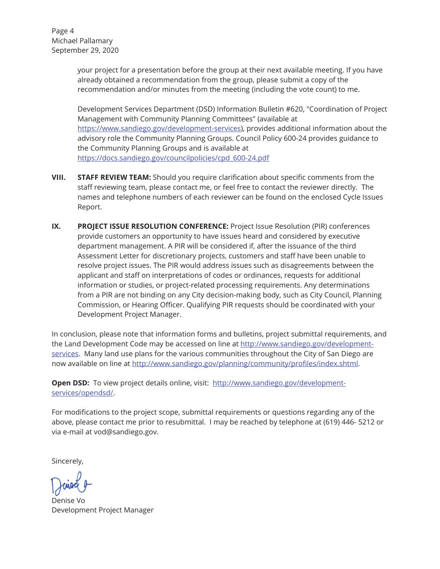Page 4 Michael Pallamary September 29, 2020

> your project for a presentation before the group at their next available meeting. If you have already obtained a recommendation from the group, please submit a copy of the recommendation and/or minutes from the meeting (including the vote count) to me.

Development Services Department (DSD) Information Bulletin #620, "Coordination of Project Management with Community Planning Committees" (available at https://www.sandiego.gov/development-services), provides additional information about the advisory role the Community Planning Groups. Council Policy 600-24 provides guidance to the Community Planning Groups and is available at https://docs.sandiego.gov/councilpolicies/cpd\_600-24.pdf

- **VIII. STAFF REVIEW TEAM:** Should you require clarification about specific comments from the staff reviewing team, please contact me, or feel free to contact the reviewer directly. The names and telephone numbers of each reviewer can be found on the enclosed Cycle Issues Report.
- **IX. PROJECT ISSUE RESOLUTION CONFERENCE:** Project Issue Resolution (PIR) conferences provide customers an opportunity to have issues heard and considered by executive department management. A PIR will be considered if, after the issuance of the third Assessment Letter for discretionary projects, customers and staff have been unable to resolve project issues. The PIR would address issues such as disagreements between the applicant and staff on interpretations of codes or ordinances, requests for additional information or studies, or project-related processing requirements. Any determinations from a PIR are not binding on any City decision-making body, such as City Council, Planning Commission, or Hearing Officer. Qualifying PIR requests should be coordinated with your Development Project Manager.

In conclusion, please note that information forms and bulletins, project submittal requirements, and the Land Development Code may be accessed on line at http://www.sandiego.gov/developmentservices. Many land use plans for the various communities throughout the City of San Diego are now available on line at http://www.sandiego.gov/planning/community/profiles/index.shtml.

**Open DSD:** To view project details online, visit: http://www.sandiego.gov/developmentservices/opendsd/.

For modifications to the project scope, submittal requirements or questions regarding any of the above, please contact me prior to resubmittal. I may be reached by telephone at (619) 446- 5212 or via e-mail at vod@sandiego.gov.

Sincerely,

Denise Vo VoDevelopment Project Manager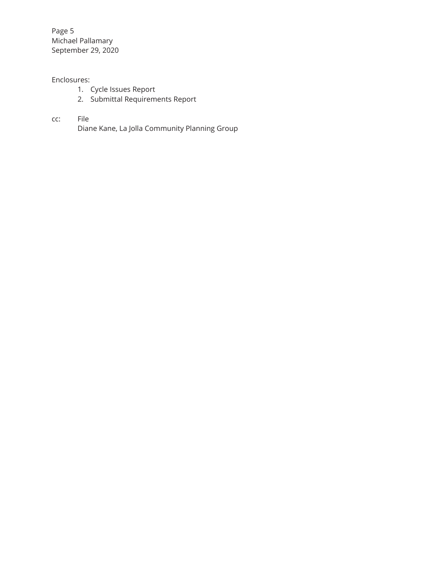Page 5 Michael Pallamary September 29, 2020

# Enclosures:

- 1. Cycle Issues Report
- 2. Submittal Requirements Report

# cc: File

Diane Kane, La Jolla Community Planning Group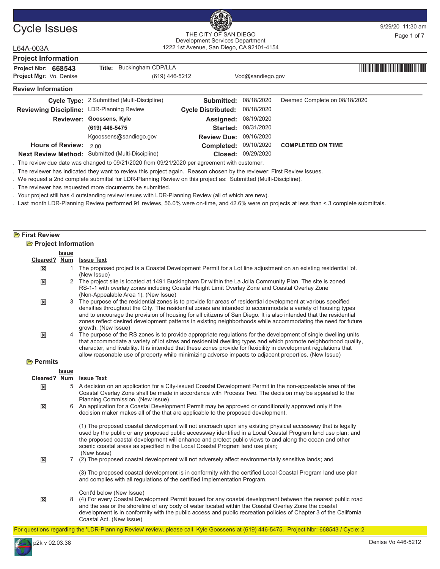

# Cycle Issues and the CITY OF SAN DIEGO BOOST PRIVILLE PAGE 101:30 am THE CITY OF SAN DIEGO Development Services Department

 $L64$ 

| L64A-003A                                 |                                            | 1222 1st Avenue, San Diego, CA 92101-4154 |                  |                               |  |
|-------------------------------------------|--------------------------------------------|-------------------------------------------|------------------|-------------------------------|--|
| <b>Project Information</b>                |                                            |                                           |                  |                               |  |
| Project Nbr: 668543                       | Title: Buckingham CDP/LLA                  |                                           |                  |                               |  |
| Project Mgr: Vo, Denise                   | (619) 446-5212                             |                                           | Vod@sandiego.gov |                               |  |
| <b>Review Information</b>                 |                                            |                                           |                  |                               |  |
|                                           | Cycle Type: 2 Submitted (Multi-Discipline) | <b>Submitted: 08/18/2020</b>              |                  | Deemed Complete on 08/18/2020 |  |
| Reviewing Discipline: LDR-Planning Review |                                            | <b>Cycle Distributed:</b>                 | 08/18/2020       |                               |  |
|                                           |                                            |                                           |                  |                               |  |

| <b>INGAIGMING DISCIDING.</b> Contributing roman |                                                  | <b>Overe Distributed.</b> Considered |                            |                                         |  |
|-------------------------------------------------|--------------------------------------------------|--------------------------------------|----------------------------|-----------------------------------------|--|
|                                                 | Reviewer: Goossens, Kyle                         | <b>Assigned: 08/19/2020</b>          |                            |                                         |  |
|                                                 | (619) 446-5475                                   |                                      | <b>Started: 08/31/2020</b> |                                         |  |
|                                                 | Kgoossens@sandiego.gov                           | <b>Review Due: 09/16/2020</b>        |                            |                                         |  |
| <b>Hours of Review:</b> $200$                   |                                                  |                                      |                            | Completed: 09/10/2020 COMPLETED ON TIME |  |
|                                                 | Next Review Method: Submitted (Multi-Discipline) |                                      | Closed: 09/29/2020         |                                         |  |
|                                                 |                                                  |                                      |                            |                                         |  |

. The review due date was changed to 09/21/2020 from 09/21/2020 per agreement with customer.

. The reviewer has indicated they want to review this project again. Reason chosen by the reviewer: First Review Issues.

. We request a 2nd complete submittal for LDR-Planning Review on this project as: Submitted (Multi-Discipline).

. The reviewer has requested more documents be submitted.

. Your project still has 4 outstanding review issues with LDR-Planning Review (all of which are new).

. Last month LDR-Planning Review performed 91 reviews, 56.0% were on-time, and 42.6% were on projects at less than < 3 complete submittals.

# **P**First Review

| <b>Project Information</b> |              |                         |  |
|----------------------------|--------------|-------------------------|--|
|                            | <b>Issue</b> |                         |  |
|                            |              | Cleared? Num Issue Text |  |

| Cleared?                  | <b>Num</b>   | <b>Issue Text</b>                                                                                                                                                                                                                                                                                                                                                                                                                                                                         |
|---------------------------|--------------|-------------------------------------------------------------------------------------------------------------------------------------------------------------------------------------------------------------------------------------------------------------------------------------------------------------------------------------------------------------------------------------------------------------------------------------------------------------------------------------------|
| $\mathbf{x}$              | 1.           | The proposed project is a Coastal Development Permit for a Lot line adjustment on an existing residential lot.<br>(New Issue)                                                                                                                                                                                                                                                                                                                                                             |
| $\mathbf x$               |              | 2 The project site is located at 1491 Buckingham Dr within the La Jolla Community Plan. The site is zoned<br>RS-1-1 with overlay zones including Coastal Height Limit Overlay Zone and Coastal Overlay Zone<br>(Non-Appealable Area 1). (New Issue)                                                                                                                                                                                                                                       |
| $\mathbf{x}$              |              | 3 The purpose of the residential zones is to provide for areas of residential development at various specified<br>densities throughout the City. The residential zones are intended to accommodate a variety of housing types<br>and to encourage the provision of housing for all citizens of San Diego. It is also intended that the residential<br>zones reflect desired development patterns in existing neighborhoods while accommodating the need for future<br>growth. (New Issue) |
| $\mathbf{x}$              |              | 4 The purpose of the RS zones is to provide appropriate regulations for the development of single dwelling units<br>that accommodate a variety of lot sizes and residential dwelling types and which promote neighborhood quality,<br>character, and livability. It is intended that these zones provide for flexibility in development regulations that<br>allow reasonable use of property while minimizing adverse impacts to adjacent properties. (New Issue)                         |
| Permits                   |              |                                                                                                                                                                                                                                                                                                                                                                                                                                                                                           |
|                           | <b>Issue</b> |                                                                                                                                                                                                                                                                                                                                                                                                                                                                                           |
| Cleared?                  | Num          | <b>Issue Text</b>                                                                                                                                                                                                                                                                                                                                                                                                                                                                         |
| $\mathbf{x}$              | 5            | A decision on an application for a City-issued Coastal Development Permit in the non-appealable area of the<br>Coastal Overlay Zone shall be made in accordance with Process Two. The decision may be appealed to the<br>Planning Commission. (New Issue)                                                                                                                                                                                                                                 |
| $\mathbf x$               |              | 6 An application for a Coastal Development Permit may be approved or conditionally approved only if the<br>decision maker makes all of the that are applicable to the proposed development.                                                                                                                                                                                                                                                                                               |
|                           |              | (1) The proposed coastal development will not encroach upon any existing physical accessway that is legally<br>used by the public or any proposed public accessway identified in a Local Coastal Program land use plan; and<br>the proposed coastal development will enhance and protect public views to and along the ocean and other<br>scenic coastal areas as specified in the Local Coastal Program land use plan;<br>(New Issue)                                                    |
| $\boldsymbol{\mathsf{x}}$ |              | 7 (2) The proposed coastal development will not adversely affect environmentally sensitive lands; and                                                                                                                                                                                                                                                                                                                                                                                     |
|                           |              | (3) The proposed coastal development is in conformity with the certified Local Coastal Program land use plan<br>and complies with all regulations of the certified Implementation Program.                                                                                                                                                                                                                                                                                                |
| $\mathbf x$               |              | Cont'd below (New Issue)<br>8 (4) For every Coastal Development Permit issued for any coastal development between the nearest public road<br>and the sea or the shoreline of any body of water located within the Coastal Overlay Zone the coastal<br>development is in conformity with the public access and public recreation policies of Chapter 3 of the California<br>Coastal Act. (New Issue)                                                                                       |
|                           |              | For questions regarding the 'LDR-Planning Review' review, please call Kyle Goossens at (619) 446-5475. Project Nbr: 668543 / Cycle: 2                                                                                                                                                                                                                                                                                                                                                     |

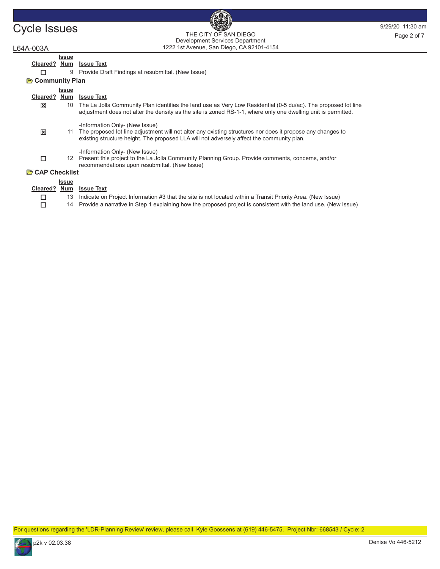# Cycle Issues and the City of San Diego Cycle 19/29/20 11:30 am 1222 1st Avenue, San Diego, CA 92101-4154 THE CITY OF SAN DIEGO Development Services Department Page 2 of 7

# L64A-003A

|                         | Issue           |                                                                                                                                                                                                                                           |
|-------------------------|-----------------|-------------------------------------------------------------------------------------------------------------------------------------------------------------------------------------------------------------------------------------------|
| Cleared? Num            |                 | <b>Issue Text</b>                                                                                                                                                                                                                         |
|                         | 9               | Provide Draft Findings at resubmittal. (New Issue)                                                                                                                                                                                        |
| <b>B</b> Community Plan |                 |                                                                                                                                                                                                                                           |
|                         | <b>Issue</b>    |                                                                                                                                                                                                                                           |
| Cleared? Num            |                 | <b>Issue Text</b>                                                                                                                                                                                                                         |
| ⊠                       | 10              | The La Jolla Community Plan identifies the land use as Very Low Residential (0-5 du/ac). The proposed lot line<br>adjustment does not alter the density as the site is zoned RS-1-1, where only one dwelling unit is permitted.           |
| ⊠                       | 11              | -Information Only- (New Issue)<br>The proposed lot line adjustment will not alter any existing structures nor does it propose any changes to<br>existing structure height. The proposed LLA will not adversely affect the community plan. |
| П                       | 12 <sup>°</sup> | -Information Only- (New Issue)<br>Present this project to the La Jolla Community Planning Group. Provide comments, concerns, and/or<br>recommendations upon resubmittal. (New Issue)                                                      |
| <b>B</b> CAP Checklist  |                 |                                                                                                                                                                                                                                           |
|                         | <b>Issue</b>    |                                                                                                                                                                                                                                           |
| Cleared? Num            |                 | <b>Issue Text</b>                                                                                                                                                                                                                         |
| □                       | 13              | Indicate on Project Information #3 that the site is not located within a Transit Priority Area. (New Issue)                                                                                                                               |
| □                       |                 | 14 Provide a narrative in Step 1 explaining how the proposed project is consistent with the land use. (New Issue)                                                                                                                         |

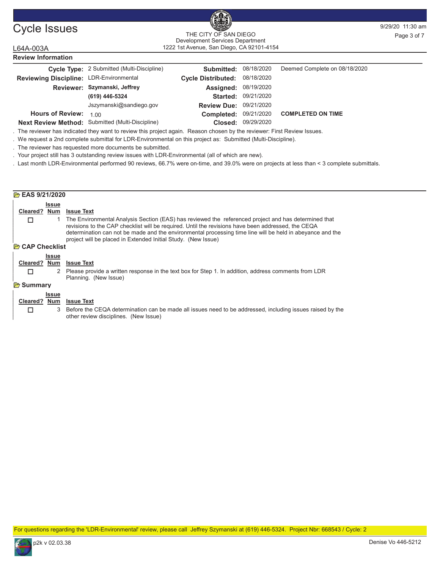#### Cycle Issues and the city of samples of the control of the state of the state of the state of the state of the state of the state of the state of the state of the state of the state of the state of the state of the state o 1222 1st Avenue, San Diego, CA 92101-4154 THE CITY OF SAN DIEGO THE CITY OF SAN DIEGO<br>Development Services Department<br>
Page 3 of 7

| L64A-003A                               | 1222 1st Avenue, San Diego, CA 92101-4154         |                           |            |                               |  |  |  |
|-----------------------------------------|---------------------------------------------------|---------------------------|------------|-------------------------------|--|--|--|
| <b>Review Information</b>               |                                                   |                           |            |                               |  |  |  |
|                                         | <b>Cycle Type:</b> 2 Submitted (Multi-Discipline) | Submitted:                | 08/18/2020 | Deemed Complete on 08/18/2020 |  |  |  |
| Reviewing Discipline: LDR-Environmental |                                                   | <b>Cycle Distributed:</b> | 08/18/2020 |                               |  |  |  |
|                                         | Reviewer: Szymanski, Jeffrey                      | Assigned:                 | 08/19/2020 |                               |  |  |  |
|                                         | (619) 446-5324                                    | Started:                  | 09/21/2020 |                               |  |  |  |
|                                         | Jszymanski@sandiego.gov                           | <b>Review Due:</b>        | 09/21/2020 |                               |  |  |  |
| <b>Hours of Review:</b>                 | 1.00                                              | Completed:                | 09/21/2020 | <b>COMPLETED ON TIME</b>      |  |  |  |
|                                         | Next Review Method: Submitted (Multi-Discipline)  | Closed:                   | 09/29/2020 |                               |  |  |  |

. The reviewer has indicated they want to review this project again. Reason chosen by the reviewer: First Review Issues.

. We request a 2nd complete submittal for LDR-Environmental on this project as: Submitted (Multi-Discipline).

. The reviewer has requested more documents be submitted.

. Your project still has 3 outstanding review issues with LDR-Environmental (all of which are new).

. Last month LDR-Environmental performed 90 reviews, 66.7% were on-time, and 39.0% were on projects at less than < 3 complete submittals.

| <b>P</b> EAS 9/21/2020 |              |                                                                                                                                                                                                                                                                                                                                                                                            |
|------------------------|--------------|--------------------------------------------------------------------------------------------------------------------------------------------------------------------------------------------------------------------------------------------------------------------------------------------------------------------------------------------------------------------------------------------|
|                        | <b>Issue</b> |                                                                                                                                                                                                                                                                                                                                                                                            |
| Cleared?               | Num          | <b>Issue Text</b>                                                                                                                                                                                                                                                                                                                                                                          |
| □                      |              | 1 The Environmental Analysis Section (EAS) has reviewed the referenced project and has determined that<br>revisions to the CAP checklist will be required. Until the revisions have been addressed, the CEQA<br>determination can not be made and the environmental processing time line will be held in abeyance and the<br>project will be placed in Extended Initial Study. (New Issue) |
| <b>P</b> CAP Checklist |              |                                                                                                                                                                                                                                                                                                                                                                                            |
|                        | <b>Issue</b> |                                                                                                                                                                                                                                                                                                                                                                                            |
| Cleared?               | <b>Num</b>   | <b>Issue Text</b>                                                                                                                                                                                                                                                                                                                                                                          |
| п                      |              | 2 Please provide a written response in the text box for Step 1. In addition, address comments from LDR<br>Planning. (New Issue)                                                                                                                                                                                                                                                            |
| <b>B</b> Summary       |              |                                                                                                                                                                                                                                                                                                                                                                                            |
|                        | <b>Issue</b> |                                                                                                                                                                                                                                                                                                                                                                                            |
| Cleared?               | Num          | <b>Issue Text</b>                                                                                                                                                                                                                                                                                                                                                                          |
| □                      |              | 3 Before the CEQA determination can be made all issues need to be addressed, including issues raised by the<br>other review disciplines. (New Issue)                                                                                                                                                                                                                                       |

For questions regarding the 'LDR-Environmental' review, please call Jeffrey Szymanski at (619) 446-5324. Project Nbr: 668543 / Cycle: 2

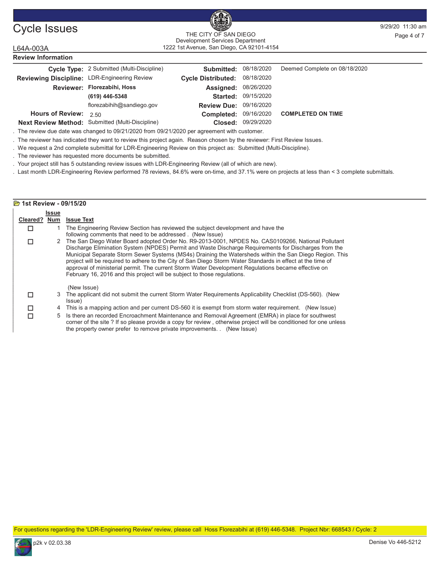

#### Cycle Issues and the CITY OF SAN DIEGO BOOST PRIVILLE PAGE 4 of 7 1222 1st Avenue, San Diego, CA 92101-4154 THE CITY OF SAN DIEGO Development Services Department

# L64A-003A Review Information Cycle Type: 2 Submitted (Multi-Discipline) **Submitted:** 08/18/2020 Deemed Complete on 08/18/2020

| Reviewing Discipline: LDR-Engineering Review |                                                         | Cycle Distributed: 08/18/2020 |                            |                          |
|----------------------------------------------|---------------------------------------------------------|-------------------------------|----------------------------|--------------------------|
|                                              | Reviewer: Florezabihi, Hoss                             | <b>Assigned: 08/26/2020</b>   |                            |                          |
|                                              | (619) 446-5348                                          |                               | <b>Started: 09/15/2020</b> |                          |
|                                              | florezabihih@sandiego.gov                               | <b>Review Due: 09/16/2020</b> |                            |                          |
| Hours of Review: $2.50$                      |                                                         | <b>Completed: 09/16/2020</b>  |                            | <b>COMPLETED ON TIME</b> |
|                                              | <b>Next Review Method:</b> Submitted (Multi-Discipline) |                               | Closed: 09/29/2020         |                          |

. The review due date was changed to 09/21/2020 from 09/21/2020 per agreement with customer.

. The reviewer has indicated they want to review this project again. Reason chosen by the reviewer: First Review Issues.

. We request a 2nd complete submittal for LDR-Engineering Review on this project as: Submitted (Multi-Discipline).

. The reviewer has requested more documents be submitted.

. Your project still has 5 outstanding review issues with LDR-Engineering Review (all of which are new).

. Last month LDR-Engineering Review performed 78 reviews, 84.6% were on-time, and 37.1% were on projects at less than < 3 complete submittals.

#### **2** 1st Review - 09/15/20 Issue Cleared? Num Issue Text 1 The Engineering Review Section has reviewed the subject development and have the following comments that need to be addressed . (New Issue)  $\Box$ 2 The San Diego Water Board adopted Order No. R9-2013-0001, NPDES No. CAS0109266, National Pollutant Discharge Elimination System (NPDES) Permit and Waste Discharge Requirements for Discharges from the Municipal Separate Storm Sewer Systems (MS4s) Draining the Watersheds within the San Diego Region. This project will be required to adhere to the City of San Diego Storm Water Standards in effect at the time of approval of ministerial permit. The current Storm Water Development Regulations became effective on February 16, 2016 and this project will be subject to those regulations. (New Issue)  $\Box$ 3 The applicant did not submit the current Storm Water Requirements Applicability Checklist (DS-560). (New Issue)  $\Box$ □ 4 This is a mapping action and per current DS-560 it is exempt from storm water requirement. (New Issue) 5 Is there an recorded Encroachment Maintenance and Removal Agreement (EMRA) in place for southwest  $\Box$

corner of the site ? If so please provide a copy for review , otherwise project will be conditioned for one unless the property owner prefer to remove private improvements. . (New Issue)

For questions regarding the 'LDR-Engineering Review' review, please call Hoss Florezabihi at (619) 446-5348. Project Nbr: 668543 / Cycle: 2

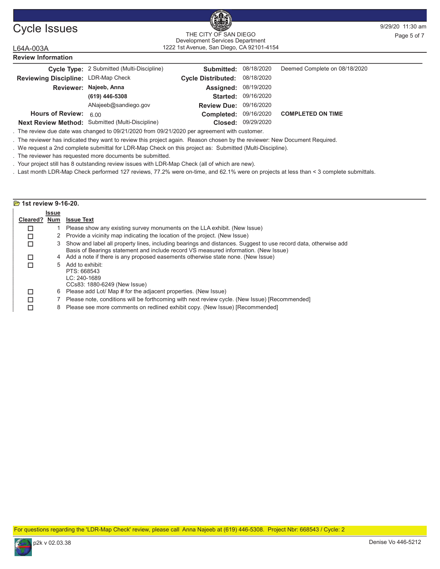

#### Cycle Issues and the CITY OF SAN DIEGO BOOST PRIVILLE PAGE 5 OF 7 AND THE CITY OF SAN DIEGO 1222 1st Avenue, San Diego, CA 92101-4154 THE CITY OF SAN DIEGO Development Services Department

# L64A-003A

Review Information

|                                     | Cycle Type: 2 Submitted (Multi-Discipline)       | <b>Submitted: 08/18/2020</b>  |                    | Deemed Complete on 08/18/2020 |
|-------------------------------------|--------------------------------------------------|-------------------------------|--------------------|-------------------------------|
| Reviewing Discipline: LDR-Map Check |                                                  | Cycle Distributed: 08/18/2020 |                    |                               |
|                                     | Reviewer: Najeeb, Anna                           | <b>Assigned: 08/19/2020</b>   |                    |                               |
|                                     | (619) 446-5308                                   | Started:                      | 09/16/2020         |                               |
|                                     | ANajeeb@sandiego.gov                             | <b>Review Due: 09/16/2020</b> |                    |                               |
| <b>Hours of Review:</b>             | 6.00                                             | Completed: 09/16/2020         |                    | <b>COMPLETED ON TIME</b>      |
|                                     | Next Review Method: Submitted (Multi-Discipline) |                               | Closed: 09/29/2020 |                               |

Next Review Method: Submitted (Multi-Discipline)

. The review due date was changed to 09/21/2020 from 09/21/2020 per agreement with customer.

. The reviewer has indicated they want to review this project again. Reason chosen by the reviewer: New Document Required.

. We request a 2nd complete submittal for LDR-Map Check on this project as: Submitted (Multi-Discipline).

. The reviewer has requested more documents be submitted.

. Your project still has 8 outstanding review issues with LDR-Map Check (all of which are new).

. Last month LDR-Map Check performed 127 reviews, 77.2% were on-time, and 62.1% were on projects at less than < 3 complete submittals.

#### **23** 1st review 9-16-20. Issue Cleared? Num Issue Text 1 Please show any existing survey monuments on the LLA exhibit. (New Issue) □ 2 Provide a vicinity map indicating the location of the project. (New Issue) 3 Show and label all property lines, including bearings and distances. Suggest to use record data, otherwise add Basis of Bearings statement and include record VS measured information. (New Issue)  $\Box$  $\Box$  4 Add a note if there is any proposed easements otherwise state none. (New Issue) 5 Add to exhibit: PTS: 668543 LC: 240-1689 CCs83: 1880-6249 (New Issue)  $\Box$ □ 6 Please add Lot/ Map # for the adjacent properties. (New Issue)<br>□ 7 Please note, conditions will be forthcoming with next review cyc □ 7 Please note, conditions will be forthcoming with next review cycle. (New Issue) [Recommended]<br>□ 8 Please see more comments on redlined exhibit copy. (New Issue) [Recommended] 8 Please see more comments on redlined exhibit copy. (New Issue) [Recommended]

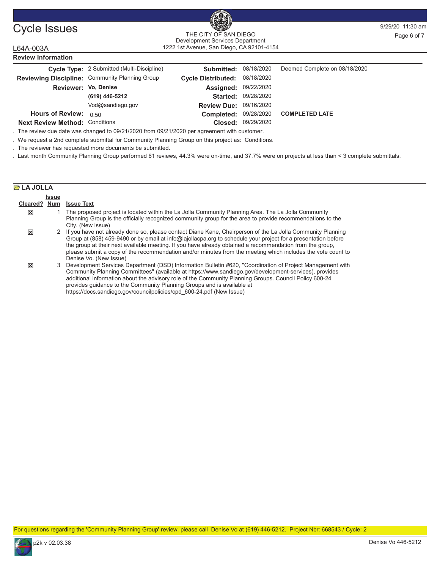

#### Cycle Issues and the CITY OF SAN DIEGO BEEN SANDY THE CITY OF SAN DIEGO BEEN SANDY Page 6 of 7 1222 1st Avenue, San Diego, CA 92101-4154 THE CITY OF SAN DIEGO Development Services Department

## L64A-003A Review Information

|                                       | Cycle Type: 2 Submitted (Multi-Discipline)     | <b>Submitted:</b>           | 08/18/2020 | Deemed Complete on 08/18/2020 |
|---------------------------------------|------------------------------------------------|-----------------------------|------------|-------------------------------|
|                                       | Reviewing Discipline: Community Planning Group | <b>Cycle Distributed:</b>   | 08/18/2020 |                               |
| Reviewer: Vo, Denise                  |                                                | <b>Assigned: 09/22/2020</b> |            |                               |
|                                       | (619) 446-5212                                 | Started:                    | 09/28/2020 |                               |
|                                       | Vod@sandiego.gov                               | <b>Review Due:</b>          | 09/16/2020 |                               |
| <b>Hours of Review:</b>               | 0.50                                           | Completed:                  | 09/28/2020 | <b>COMPLETED LATE</b>         |
| <b>Next Review Method: Conditions</b> |                                                | Closed:                     | 09/29/2020 |                               |

. The review due date was changed to 09/21/2020 from 09/21/2020 per agreement with customer.

. We request a 2nd complete submittal for Community Planning Group on this project as: Conditions.

. The reviewer has requested more documents be submitted.

. Last month Community Planning Group performed 61 reviews, 44.3% were on-time, and 37.7% were on projects at less than < 3 complete submittals.

#### **P**LA JOLLA **Issue** Cleared? Num Issue Text 1 The proposed project is located within the La Jolla Community Planning Area. The La Jolla Community Planning Group is the officially recognized community group for the area to provide recommendations to the City. (New Issue) : 2 If you have not already done so, please contact Diane Kane, Chairperson of the La Jolla Community Planning Group at (858) 459-9490 or by email at info@lajollacpa.org to schedule your project for a presentation before the group at their next available meeting. If you have already obtained a recommendation from the group, please submit a copy of the recommendation and/or minutes from the meeting which includes the vote count to Denise Vo. (New Issue) : 3 Development Services Department (DSD) Information Bulletin #620, "Coordination of Project Management with Community Planning Committees" (available at https://www.sandiego.gov/development-services), provides additional information about the advisory role of the Community Planning Groups. Council Policy 600-24 provides guidance to the Community Planning Groups and is available at https://docs.sandiego.gov/councilpolicies/cpd\_600-24.pdf (New Issue) :

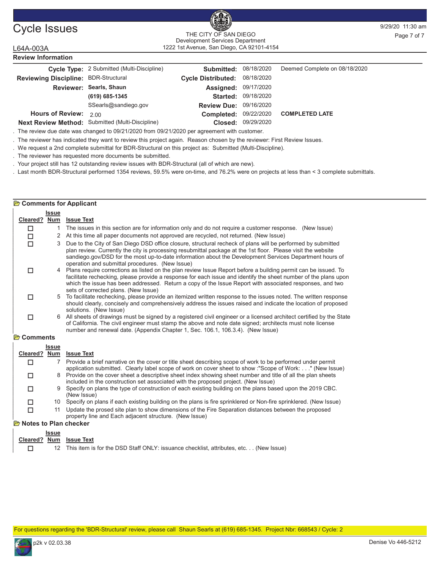

## Cycle Issues and the CITY OF SAN DIEGO BOOST PRIVILLE PAGE 7 OF 7 AND THE CITY OF SAN DIEGO 1222 1st Avenue, San Diego, CA 92101-4154 THE CITY OF SAN DIEGO Development Services Department

# L64A-003A Review Information

|                                             | Cycle Type: 2 Submitted (Multi-Discipline)       | <b>Submitted: 08/18/2020</b>  |                            | Deemed Complete on 08/18/2020 |
|---------------------------------------------|--------------------------------------------------|-------------------------------|----------------------------|-------------------------------|
| <b>Reviewing Discipline: BDR-Structural</b> |                                                  | Cycle Distributed: 08/18/2020 |                            |                               |
|                                             | Reviewer: Searls, Shaun                          | <b>Assigned: 09/17/2020</b>   |                            |                               |
|                                             | (619) 685-1345                                   |                               | <b>Started: 09/18/2020</b> |                               |
|                                             | SSearls@sandiego.gov                             | <b>Review Due: 09/16/2020</b> |                            |                               |
| Hours of Review: $2.00$                     |                                                  | Completed: 09/22/2020         |                            | <b>COMPLETED LATE</b>         |
|                                             | Next Review Method: Submitted (Multi-Discipline) |                               | Closed: 09/29/2020         |                               |

. The review due date was changed to 09/21/2020 from 09/21/2020 per agreement with customer.

. The reviewer has indicated they want to review this project again. Reason chosen by the reviewer: First Review Issues.

. We request a 2nd complete submittal for BDR-Structural on this project as: Submitted (Multi-Discipline).

. The reviewer has requested more documents be submitted.

. Your project still has 12 outstanding review issues with BDR-Structural (all of which are new).

. Last month BDR-Structural performed 1354 reviews, 59.5% were on-time, and 76.2% were on projects at less than < 3 complete submittals.

#### **B** Comments for Applicant Issue Cleared? Num Issue Text  $\Box$  1 The issues in this section are for information only and do not require a customer response. (New Issue) □ 2 At this time all paper documents not approved are recycled, not returned. (New Issue) 3 Due to the City of San Diego DSD office closure, structural recheck of plans will be performed by submitted plan review. Currently the city is processing resubmittal package at the 1st floor. Please visit the website sandiego.gov/DSD for the most up-to-date information about the Development Services Department hours of operation and submittal procedures. (New Issue)  $\Box$ 4 Plans require corrections as listed on the plan review Issue Report before a building permit can be issued. To facilitate rechecking, please provide a response for each issue and identify the sheet number of the plans upon which the issue has been addressed. Return a copy of the Issue Report with associated responses, and two sets of corrected plans. (New Issue) □ 5 To facilitate rechecking, please provide an itemized written response to the issues noted. The written response should clearly, concisely and comprehensively address the issues raised and indicate the location of proposed solutions. (New Issue)  $\Box$ 6 All sheets of drawings must be signed by a registered civil engineer or a licensed architect certified by the State of California. The civil engineer must stamp the above and note date signed; architects must note license number and renewal date. (Appendix Chapter 1, Sec. 106.1, 106.3.4). (New Issue)  $\Box$ **P** Comments Issue

| Cleared? Num |    | <b>Issue Text</b>                                                                                                                                                                                                       |
|--------------|----|-------------------------------------------------------------------------------------------------------------------------------------------------------------------------------------------------------------------------|
|              |    | Provide a brief narrative on the cover or title sheet describing scope of work to be performed under permit<br>application submitted. Clearly label scope of work on cover sheet to show :"Scope of Work: " (New Issue) |
| П            |    | 8 Provide on the cover sheet a descriptive sheet index showing sheet number and title of all the plan sheets<br>included in the construction set associated with the proposed project. (New Issue)                      |
| П            |    | 9 Specify on plans the type of construction of each existing building on the plans based upon the 2019 CBC.<br>(New Issue)                                                                                              |
| п            |    | 10 Specify on plans if each existing building on the plans is fire sprinklered or Non-fire sprinklered. (New Issue)                                                                                                     |
|              | 11 | Update the prosed site plan to show dimensions of the Fire Separation distances between the proposed                                                                                                                    |

property line and Each adjacent structure. (New Issue)

# **P** Notes to Plan checker

| <b>Issue</b> |                                                                                         |
|--------------|-----------------------------------------------------------------------------------------|
|              | Cleared? Num Issue Text                                                                 |
|              | 12 This item is for the DSD Staff ONLY: issuance checklist, attributes, etc (New Issue) |